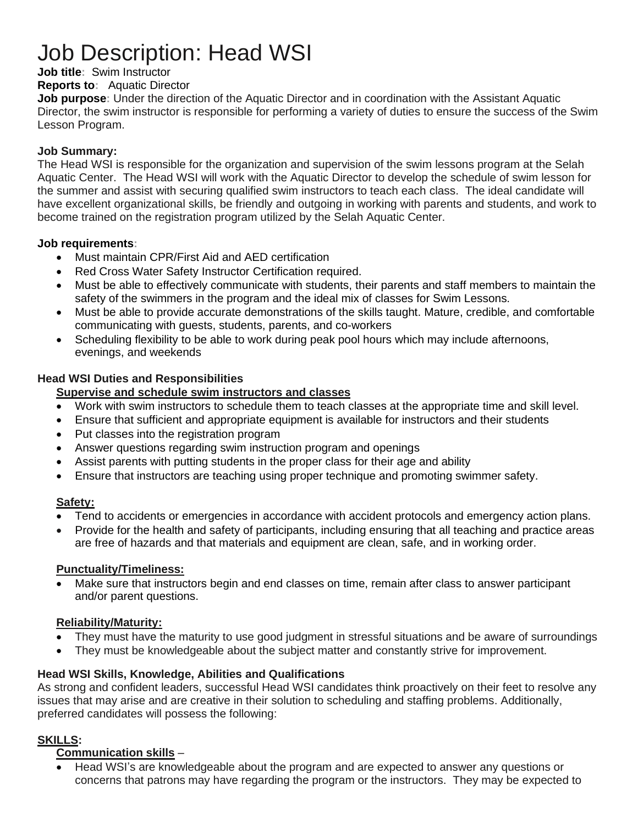# Job Description: Head WSI

# **Job title:** Swim Instructor

#### **Reports to:** Aquatic Director

**Job purpose:** Under the direction of the Aquatic Director and in coordination with the Assistant Aquatic Director, the swim instructor is responsible for performing a variety of duties to ensure the success of the Swim Lesson Program.

#### **Job Summary:**

The Head WSI is responsible for the organization and supervision of the swim lessons program at the Selah Aquatic Center. The Head WSI will work with the Aquatic Director to develop the schedule of swim lesson for the summer and assist with securing qualified swim instructors to teach each class. The ideal candidate will have excellent organizational skills, be friendly and outgoing in working with parents and students, and work to become trained on the registration program utilized by the Selah Aquatic Center.

#### **Job requirements:**

- Must maintain CPR/First Aid and AED certification
- Red Cross Water Safety Instructor Certification required.
- Must be able to effectively communicate with students, their parents and staff members to maintain the safety of the swimmers in the program and the ideal mix of classes for Swim Lessons.
- Must be able to provide accurate demonstrations of the skills taught. Mature, credible, and comfortable communicating with guests, students, parents, and co-workers
- Scheduling flexibility to be able to work during peak pool hours which may include afternoons, evenings, and weekends

## **Head WSI Duties and Responsibilities**

## **Supervise and schedule swim instructors and classes**

- Work with swim instructors to schedule them to teach classes at the appropriate time and skill level.
- Ensure that sufficient and appropriate equipment is available for instructors and their students
- Put classes into the registration program
- Answer questions regarding swim instruction program and openings
- Assist parents with putting students in the proper class for their age and ability
- Ensure that instructors are teaching using proper technique and promoting swimmer safety.

#### **Safety:**

- Tend to accidents or emergencies in accordance with accident protocols and emergency action plans.
- Provide for the health and safety of participants, including ensuring that all teaching and practice areas are free of hazards and that materials and equipment are clean, safe, and in working order.

#### **Punctuality/Timeliness:**

Make sure that instructors begin and end classes on time, remain after class to answer participant and/or parent questions.

## **Reliability/Maturity:**

- They must have the maturity to use good judgment in stressful situations and be aware of surroundings
- They must be knowledgeable about the subject matter and constantly strive for improvement.

#### **Head WSI Skills, Knowledge, Abilities and Qualifications**

As strong and confident leaders, successful Head WSI candidates think proactively on their feet to resolve any issues that may arise and are creative in their solution to scheduling and staffing problems. Additionally, preferred candidates will possess the following:

## **SKILLS:**

#### **Communication skills** –

• Head WSI's are knowledgeable about the program and are expected to answer any questions or concerns that patrons may have regarding the program or the instructors. They may be expected to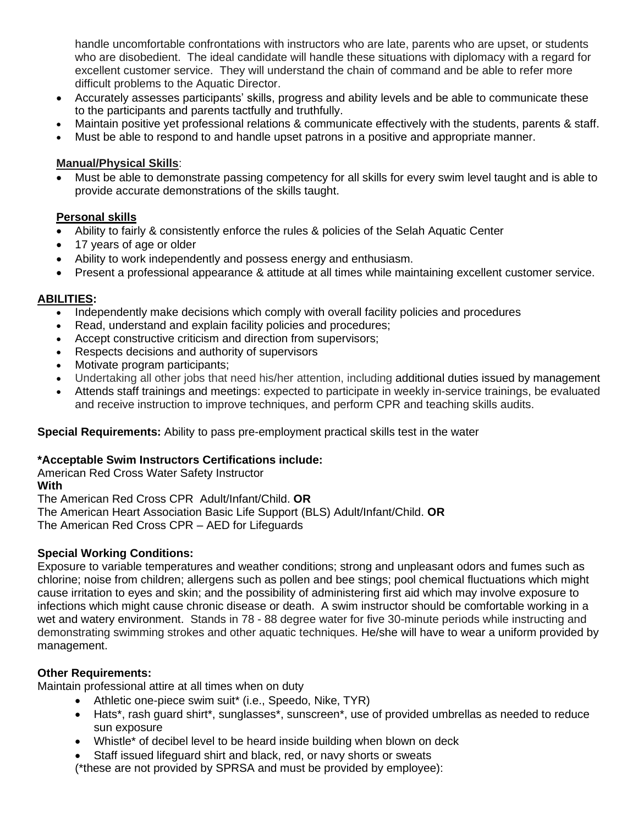handle uncomfortable confrontations with instructors who are late, parents who are upset, or students who are disobedient. The ideal candidate will handle these situations with diplomacy with a regard for excellent customer service. They will understand the chain of command and be able to refer more difficult problems to the Aquatic Director.

- Accurately assesses participants' skills, progress and ability levels and be able to communicate these to the participants and parents tactfully and truthfully.
- Maintain positive yet professional relations & communicate effectively with the students, parents & staff.
- Must be able to respond to and handle upset patrons in a positive and appropriate manner.

#### **Manual/Physical Skills**:

• Must be able to demonstrate passing competency for all skills for every swim level taught and is able to provide accurate demonstrations of the skills taught.

## **Personal skills**

- Ability to fairly & consistently enforce the rules & policies of the Selah Aquatic Center
- 17 years of age or older
- Ability to work independently and possess energy and enthusiasm.
- Present a professional appearance & attitude at all times while maintaining excellent customer service.

## **ABILITIES:**

- Independently make decisions which comply with overall facility policies and procedures
- Read, understand and explain facility policies and procedures;
- Accept constructive criticism and direction from supervisors;
- Respects decisions and authority of supervisors
- Motivate program participants;
- Undertaking all other jobs that need his/her attention, including additional duties issued by management
- Attends staff trainings and meetings: expected to participate in weekly in-service trainings, be evaluated and receive instruction to improve techniques, and perform CPR and teaching skills audits.

#### **Special Requirements:** Ability to pass pre-employment practical skills test in the water

#### **\*Acceptable Swim Instructors Certifications include:**

American Red Cross Water Safety Instructor

#### **With**

The American Red Cross CPR Adult/Infant/Child. **OR**

The American Heart Association Basic Life Support (BLS) Adult/Infant/Child. **OR** 

The American Red Cross CPR – AED for Lifeguards

#### **Special Working Conditions:**

Exposure to variable temperatures and weather conditions; strong and unpleasant odors and fumes such as chlorine; noise from children; allergens such as pollen and bee stings; pool chemical fluctuations which might cause irritation to eyes and skin; and the possibility of administering first aid which may involve exposure to infections which might cause chronic disease or death. A swim instructor should be comfortable working in a wet and watery environment. Stands in 78 - 88 degree water for five 30-minute periods while instructing and demonstrating swimming strokes and other aquatic techniques. He/she will have to wear a uniform provided by management.

#### **Other Requirements:**

Maintain professional attire at all times when on duty

- Athletic one-piece swim suit\* (i.e., Speedo, Nike, TYR)
- Hats\*, rash guard shirt\*, sunglasses\*, sunscreen\*, use of provided umbrellas as needed to reduce sun exposure
- Whistle\* of decibel level to be heard inside building when blown on deck
- Staff issued lifeguard shirt and black, red, or navy shorts or sweats

(\*these are not provided by SPRSA and must be provided by employee):